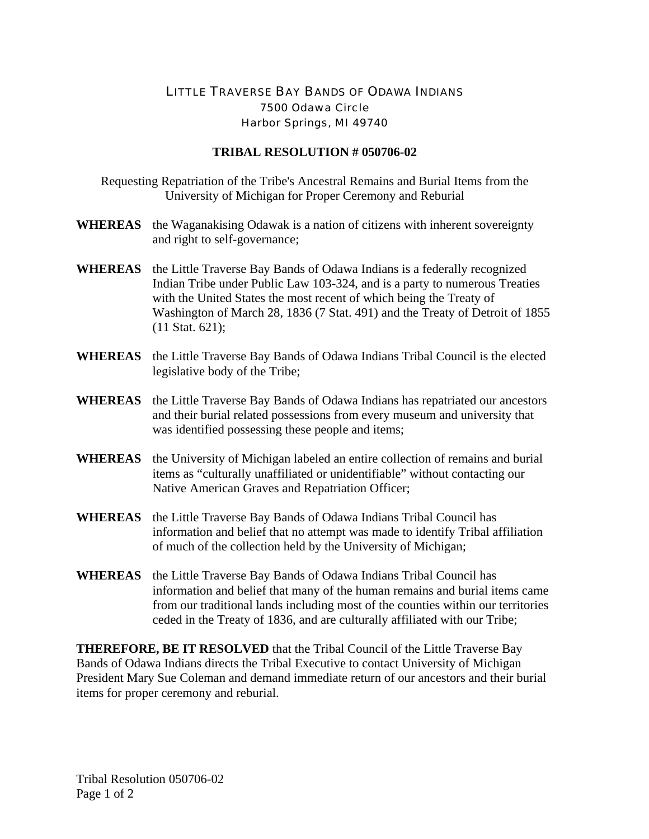## LITTLE TRAVERSE BAY BANDS OF ODAWA INDIANS 7500 Odawa Circle Harbor Springs, MI 49740

## **TRIBAL RESOLUTION # 050706-02**

Requesting Repatriation of the Tribe's Ancestral Remains and Burial Items from the University of Michigan for Proper Ceremony and Reburial

- **WHEREAS** the Waganakising Odawak is a nation of citizens with inherent sovereignty and right to self-governance;
- **WHEREAS** the Little Traverse Bay Bands of Odawa Indians is a federally recognized Indian Tribe under Public Law 103-324, and is a party to numerous Treaties with the United States the most recent of which being the Treaty of Washington of March 28, 1836 (7 Stat. 491) and the Treaty of Detroit of 1855 (11 Stat. 621);
- **WHEREAS** the Little Traverse Bay Bands of Odawa Indians Tribal Council is the elected legislative body of the Tribe;
- **WHEREAS** the Little Traverse Bay Bands of Odawa Indians has repatriated our ancestors and their burial related possessions from every museum and university that was identified possessing these people and items;
- **WHEREAS** the University of Michigan labeled an entire collection of remains and burial items as "culturally unaffiliated or unidentifiable" without contacting our Native American Graves and Repatriation Officer;
- **WHEREAS** the Little Traverse Bay Bands of Odawa Indians Tribal Council has information and belief that no attempt was made to identify Tribal affiliation of much of the collection held by the University of Michigan;
- **WHEREAS** the Little Traverse Bay Bands of Odawa Indians Tribal Council has information and belief that many of the human remains and burial items came from our traditional lands including most of the counties within our territories ceded in the Treaty of 1836, and are culturally affiliated with our Tribe;

**THEREFORE, BE IT RESOLVED** that the Tribal Council of the Little Traverse Bay Bands of Odawa Indians directs the Tribal Executive to contact University of Michigan President Mary Sue Coleman and demand immediate return of our ancestors and their burial items for proper ceremony and reburial.